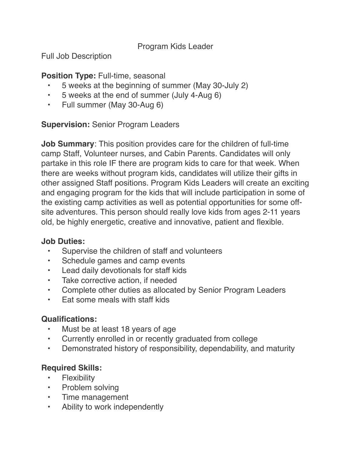Program Kids Leader

Full Job Description

### **Position Type:** Full-time, seasonal

- 5 weeks at the beginning of summer (May 30-July 2)
- 5 weeks at the end of summer (July 4-Aug 6)
- Full summer (May 30-Aug 6)

### **Supervision:** Senior Program Leaders

**Job Summary**: This position provides care for the children of full-time camp Staff, Volunteer nurses, and Cabin Parents. Candidates will only partake in this role IF there are program kids to care for that week. When there are weeks without program kids, candidates will utilize their gifts in other assigned Staff positions. Program Kids Leaders will create an exciting and engaging program for the kids that will include participation in some of the existing camp activities as well as potential opportunities for some offsite adventures. This person should really love kids from ages 2-11 years old, be highly energetic, creative and innovative, patient and flexible.

#### **Job Duties:**

- Supervise the children of staff and volunteers
- Schedule games and camp events
- Lead daily devotionals for staff kids
- Take corrective action, if needed
- Complete other duties as allocated by Senior Program Leaders
- Eat some meals with staff kids

# **Qualifications:**

- Must be at least 18 years of age
- Currently enrolled in or recently graduated from college
- Demonstrated history of responsibility, dependability, and maturity

# **Required Skills:**

- Flexibility
- Problem solving
- Time management
- Ability to work independently